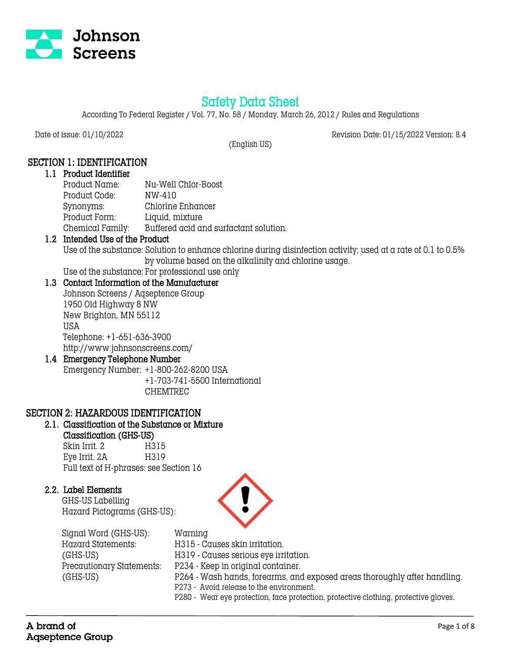

# Safety Data Sheet

According To Federal Register / Vol. 77, No. 58 / Monday, March 26, 2012 / Rules and Regulations

(English US)

Date of issue: 01/10/2022 Revision Date: 01/15/2022 Version: 8.4

# SECTION 1: IDENTIFICATION

#### 1.1 Product Identifier

| Product Name:    | Nu-Well Chlor-Boost                    |
|------------------|----------------------------------------|
| Product Code:    | NW-410                                 |
| Synonyms:        | Chlorine Enhancer                      |
| Product Form:    | Liquid, mixture                        |
| Chemical Family: | Buffered acid and surfactant solution. |

## 1.2 Intended Use of the Product

Use of the substance: Solution to enhance chlorine during disinfection activity; used at a rate of 0.1 to 0.5% by volume based on the alkalinity and chlorine usage.

# Use of the substance: For professional use only

# 1.3 Contact Information of the Manufacturer

Johnson Screens / Aqseptence Group 1950 Old Highway 8 NW New Brighton, MN 55112 USA Telephone: +1-651-636-3900 http://www.johnsonscreens.com/

#### 1.4 Emergency Telephone Number

Emergency Number: +1-800-262-8200 USA +1-703-741-5500 International CHEMTREC

## SECTION 2: HAZARDOUS IDENTIFICATION

# 2.1. Classification of the Substance or Mixture

## Classification (GHS-US)

Skin Irrit. 2 H315 Eye Irrit. 2A H319 Full text of H-phrases: see Section 16

## 2.2. Label Elements

 GHS-US Labelling Hazard Pictograms (GHS-US):





 Signal Word (GHS-US): Warning Hazard Statements: H315 - Causes skin irritation. (GHS-US) H319 - Causes serious eye irritation. Precautionary Statements: P234 - Keep in original container. (GHS-US) P264 - Wash hands, forearms, and exposed areas thoroughly after handling. P273 - Avoid release to the environment. P280 - Wear eye protection, face protection, protective clothing, protective gloves.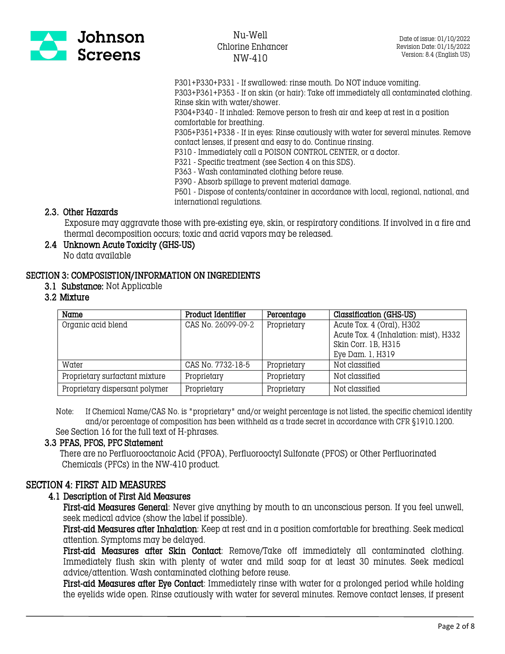

P301+P330+P331 - If swallowed: rinse mouth. Do NOT induce vomiting.

P303+P361+P353 - If on skin (or hair): Take off immediately all contaminated clothing. Rinse skin with water/shower.

P304+P340 - If inhaled: Remove person to fresh air and keep at rest in a position comfortable for breathing.

P305+P351+P338 - If in eyes: Rinse cautiously with water for several minutes. Remove contact lenses, if present and easy to do. Continue rinsing.

P310 - Immediately call a POISON CONTROL CENTER, or a doctor.

P321 - Specific treatment (see Section 4 on this SDS).

P363 - Wash contaminated clothing before reuse.

P390 - Absorb spillage to prevent material damage.

P501 - Dispose of contents/container in accordance with local, regional, national, and international regulations.

#### 2.3. Other Hazards

 Exposure may aggravate those with pre-existing eye, skin, or respiratory conditions. If involved in a fire and thermal decomposition occurs; toxic and acrid vapors may be released.

#### 2.4 Unknown Acute Toxicity (GHS-US) No data available

#### SECTION 3: COMPOSISTION/INFORMATION ON INGREDIENTS

3.1 Substance: Not Applicable

#### 3.2 Mixture

| Name                           | Product Identifier | Percentage  | Classification (GHS-US)               |
|--------------------------------|--------------------|-------------|---------------------------------------|
| Organic acid blend             | CAS No. 26099-09-2 | Proprietary | Acute Tox. 4 (Oral), H302             |
|                                |                    |             | Acute Tox. 4 (Inhalation: mist), H332 |
|                                |                    |             | Skin Corr. 1B, H315                   |
|                                |                    |             | Eye Dam. 1, H319                      |
| Water                          | CAS No. 7732-18-5  | Proprietary | Not classified                        |
| Proprietary surfactant mixture | Proprietary        | Proprietary | Not classified                        |
| Proprietary dispersant polymer | Proprietary        | Proprietary | Not classified                        |

 Note: If Chemical Name/CAS No. is "proprietary" and/or weight percentage is not listed, the specific chemical identity and/or percentage of composition has been withheld as a trade secret in accordance with CFR §1910.1200. See Section 16 for the full text of H-phrases.

#### 3.3 PFAS, PFOS, PFC Statement

 There are no Perfluorooctanoic Acid (PFOA), Perfluorooctyl Sulfonate (PFOS) or Other Perfluorinated Chemicals (PFCs) in the NW-410 product.

## SECTION 4: FIRST AID MEASURES

#### 4.1 Description of First Aid Measures

First-aid Measures General: Never give anything by mouth to an unconscious person. If you feel unwell, seek medical advice (show the label if possible).

First-aid Measures after Inhalation: Keep at rest and in a position comfortable for breathing. Seek medical attention. Symptoms may be delayed.

First-aid Measures after Skin Contact: Remove/Take off immediately all contaminated clothing. Immediately flush skin with plenty of water and mild soap for at least 30 minutes. Seek medical advice/attention. Wash contaminated clothing before reuse.

First-aid Measures after Eye Contact: Immediately rinse with water for a prolonged period while holding the eyelids wide open. Rinse cautiously with water for several minutes. Remove contact lenses, if present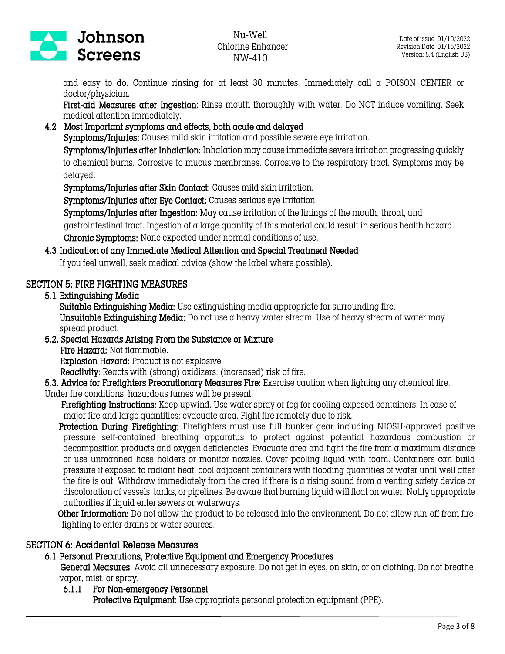

and easy to do. Continue rinsing for at least 30 minutes. Immediately call a POISON CENTER or doctor/physician.

First-aid Measures after Ingestion: Rinse mouth thoroughly with water. Do NOT induce vomiting. Seek medical attention immediately.

#### 4.2 Most Important symptoms and effects, both acute and delayed

Symptoms/Injuries: Causes mild skin irritation and possible severe eye irritation.

Symptoms/Injuries after Inhalation: Inhalation may cause immediate severe irritation progressing quickly to chemical burns. Corrosive to mucus membranes. Corrosive to the respiratory tract. Symptoms may be delayed.

Symptoms/Injuries after Skin Contact: Causes mild skin irritation.

Symptoms/Injuries after Eye Contact: Causes serious eye irritation.

Symptoms/Injuries after Ingestion: May cause irritation of the linings of the mouth, throat, and

gastrointestinal tract. Ingestion of a large quantity of this material could result in serious health hazard.

Chronic Symptoms: None expected under normal conditions of use.

#### 4.3 Indication of any Immediate Medical Attention and Special Treatment Needed

If you feel unwell, seek medical advice (show the label where possible).

## SECTION 5: FIRE FIGHTING MEASURES

5.1 Extinguishing Media

Suitable Extinguishing Media: Use extinguishing media appropriate for surrounding fire. Unsuitable Extinguishing Media: Do not use a heavy water stream. Use of heavy stream of water may spread product.

5.2. Special Hazards Arising From the Substance or Mixture Fire Hazard: Not flammable. Explosion Hazard: Product is not explosive. Reactivity: Reacts with (strong) oxidizers: (increased) risk of fire.

5.3. Advice for Firefighters Precautionary Measures Fire: Exercise caution when fighting any chemical fire.

Under fire conditions, hazardous fumes will be present.

Firefighting Instructions: Keep upwind. Use water spray or fog for cooling exposed containers. In case of major fire and large quantities: evacuate area. Fight fire remotely due to risk.

 Protection During Firefighting: Firefighters must use full bunker gear including NIOSH-approved positive pressure self-contained breathing apparatus to protect against potential hazardous combustion or decomposition products and oxygen deficiencies. Evacuate area and fight the fire from a maximum distance or use unmanned hose holders or monitor nozzles. Cover pooling liquid with foam. Containers can build pressure if exposed to radiant heat; cool adjacent containers with flooding quantities of water until well after the fire is out. Withdraw immediately from the area if there is a rising sound from a venting safety device or discoloration of vessels, tanks, or pipelines. Be aware that burning liquid will float on water. Notify appropriate authorities if liquid enter sewers or waterways.

Other Information: Do not allow the product to be released into the environment. Do not allow run-off from fire fighting to enter drains or water sources.

## SECTION 6: Accidental Release Measures

# 6.1 Personal Precautions, Protective Equipment and Emergency Procedures

General Measures: Avoid all unnecessary exposure. Do not get in eyes, on skin, or on clothing. Do not breathe vapor, mist, or spray.

6.1.1 For Non-emergency Personnel

Protective Equipment: Use appropriate personal protection equipment (PPE).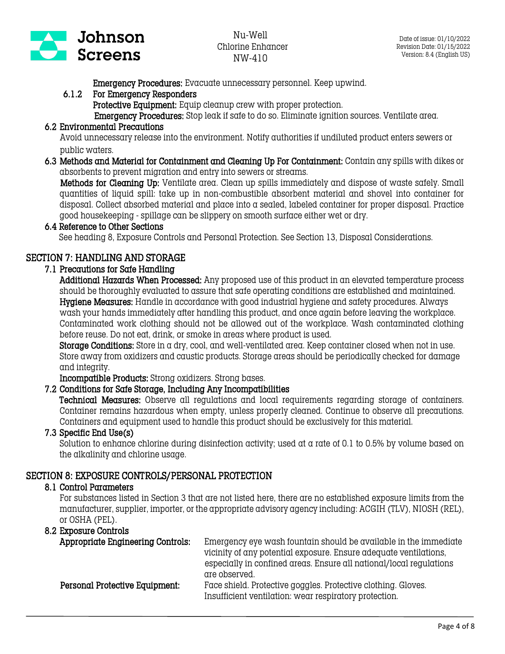

Emergency Procedures: Evacuate unnecessary personnel. Keep upwind.

# 6.1.2 For Emergency Responders

Protective Equipment: Equip cleanup crew with proper protection.

Emergency Procedures: Stop leak if safe to do so. Eliminate ignition sources. Ventilate area.

# 6.2 Environmental Precautions

 Avoid unnecessary release into the environment. Notify authorities if undiluted product enters sewers or public waters.

6.3 Methods and Material for Containment and Cleaning Up For Containment: Contain any spills with dikes or absorbents to prevent migration and entry into sewers or streams.

 Methods for Cleaning Up: Ventilate area. Clean up spills immediately and dispose of waste safely. Small quantities of liquid spill: take up in non-combustible absorbent material and shovel into container for disposal. Collect absorbed material and place into a sealed, labeled container for proper disposal. Practice good housekeeping - spillage can be slippery on smooth surface either wet or dry.

## 6.4 Reference to Other Sections

See heading 8, Exposure Controls and Personal Protection. See Section 13, Disposal Considerations.

# SECTION 7: HANDLING AND STORAGE

## 7.1 Precautions for Safe Handling

Additional Hazards When Processed: Any proposed use of this product in an elevated temperature process should be thoroughly evaluated to assure that safe operating conditions are established and maintained. Hygiene Measures: Handle in accordance with good industrial hygiene and safety procedures. Always wash your hands immediately after handling this product, and once again before leaving the workplace. Contaminated work clothing should not be allowed out of the workplace. Wash contaminated clothing before reuse. Do not eat, drink, or smoke in areas where product is used.

Storage Conditions: Store in a dry, cool, and well-ventilated area. Keep container closed when not in use. Store away from oxidizers and caustic products. Storage areas should be periodically checked for damage and integrity.

Incompatible Products: Strong oxidizers. Strong bases.

## 7.2 Conditions for Safe Storage, Including Any Incompatibilities

Technical Measures: Observe all regulations and local requirements regarding storage of containers. Container remains hazardous when empty, unless properly cleaned. Continue to observe all precautions. Containers and equipment used to handle this product should be exclusively for this material.

## 7.3 Specific End Use(s)

Solution to enhance chlorine during disinfection activity; used at a rate of 0.1 to 0.5% by volume based on the alkalinity and chlorine usage.

# SECTION 8: EXPOSURE CONTROLS/PERSONAL PROTECTION

## 8.1 Control Parameters

For substances listed in Section 3 that are not listed here, there are no established exposure limits from the manufacturer, supplier, importer, or the appropriate advisory agency including: ACGIH (TLV), NIOSH (REL), or OSHA (PEL).

#### 8.2 Exposure Controls

| Appropriate Engineering Controls: | Emergency eye wash fountain should be available in the immediate<br>vicinity of any potential exposure. Ensure adequate ventilations,<br>especially in confined areas. Ensure all national/local regulations<br>are observed. |
|-----------------------------------|-------------------------------------------------------------------------------------------------------------------------------------------------------------------------------------------------------------------------------|
| Personal Protective Equipment:    | Face shield. Protective goggles. Protective clothing. Gloves.<br>Insufficient ventilation: wear respiratory protection.                                                                                                       |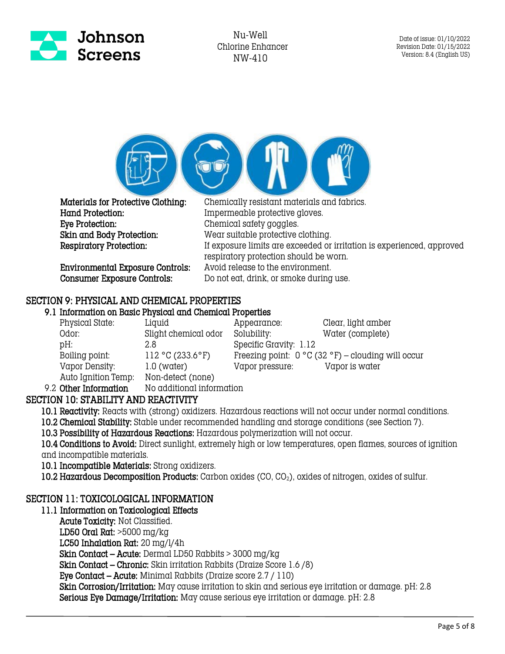



 Hand Protection: Impermeable protective gloves. Eye Protection: Chemical safety goggles. Skin and Body Protection: Wear suitable protective clothing.<br>
Respiratory Protection: If exposure limits are exceeded or

Environmental Exposure Controls: Avoid release to the environment.

 Materials for Protective Clothing: Chemically resistant materials and fabrics. If exposure limits are exceeded or irritation is experienced, approved respiratory protection should be worn. Consumer Exposure Controls: Do not eat, drink, or smoke during use.

# SECTION 9: PHYSICAL AND CHEMICAL PROPERTIES

9.1 Information on Basic Physical and Chemical Properties

| Physical State:     | Liquid               | Appearance:            | Clear, light amber                                   |
|---------------------|----------------------|------------------------|------------------------------------------------------|
| Odor:               | Slight chemical odor | Solubility:            | Water (complete)                                     |
| pH:                 | 2.8                  | Specific Gravity: 1.12 |                                                      |
| Boiling point:      | 112 °C (233.6 °F)    |                        | Freezing point: $0 °C$ (32 °F) – clouding will occur |
| Vapor Density:      | $1.0$ (water)        | Vapor pressure:        | Vapor is water                                       |
| Auto Ignition Temp: | Non-detect (none)    |                        |                                                      |

9.2 Other Information No additional information

# SECTION 10: STABILITY AND REACTIVITY

10.1 Reactivity: Reacts with (strong) oxidizers. Hazardous reactions will not occur under normal conditions.

10.2 Chemical Stability: Stable under recommended handling and storage conditions (see Section 7).

10.3 Possibility of Hazardous Reactions: Hazardous polymerization will not occur.

10.4 Conditions to Avoid: Direct sunlight, extremely high or low temperatures, open flames, sources of ignition and incompatible materials.

10.1 Incompatible Materials: Strong oxidizers.

10.2 Hazardous Decomposition Products: Carbon oxides (CO, CO<sub>2</sub>), oxides of nitrogen, oxides of sulfur.

## SECTION 11: TOXICOLOGICAL INFORMATION

#### 11.1 Information on Toxicological Effects

Acute Toxicity: Not Classified. LD50 Oral Rat: >5000 mg/kg LC50 Inhalation Rat: 20 mg/l/4h Skin Contact – Acute: Dermal LD50 Rabbits > 3000 mg/kg Skin Contact – Chronic: Skin irritation Rabbits (Draize Score 1.6 /8) Eye Contact – Acute: Minimal Rabbits (Draize score 2.7 / 110) Skin Corrosion/Irritation: May cause irritation to skin and serious eye irritation or damage. pH: 2.8 Serious Eye Damage/Irritation: May cause serious eye irritation or damage. pH: 2.8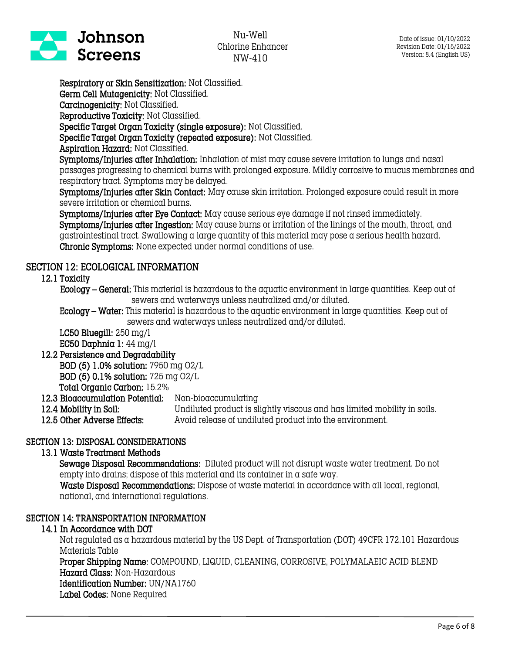

Respiratory or Skin Sensitization: Not Classified. Germ Cell Mutagenicity: Not Classified.

Carcinogenicity: Not Classified.

Reproductive Toxicity: Not Classified.

Specific Target Organ Toxicity (single exposure): Not Classified.

Specific Target Organ Toxicity (repeated exposure): Not Classified.

Aspiration Hazard: Not Classified.

Symptoms/Injuries after Inhalation: Inhalation of mist may cause severe irritation to lungs and nasal passages progressing to chemical burns with prolonged exposure. Mildly corrosive to mucus membranes and respiratory tract. Symptoms may be delayed.

Symptoms/Injuries after Skin Contact: May cause skin irritation. Prolonged exposure could result in more severe irritation or chemical burns.

Symptoms/Injuries after Eye Contact: May cause serious eye damage if not rinsed immediately. Symptoms/Injuries after Ingestion: May cause burns or irritation of the linings of the mouth, throat, and gastrointestinal tract. Swallowing a large quantity of this material may pose a serious health hazard. Chronic Symptoms: None expected under normal conditions of use.

# SECTION 12: ECOLOGICAL INFORMATION

12.1 Toxicity

 Ecology – General: This material is hazardous to the aquatic environment in large quantities. Keep out of sewers and waterways unless neutralized and/or diluted.

Ecology – Water: This material is hazardous to the aquatic environment in large quantities. Keep out of sewers and waterways unless neutralized and/or diluted.

LC50 Bluegill: 250 mg/l EC50 Daphnia 1: 44 mg/l

## 12.2 Persistence and Degradability

BOD (5) 1.0% solution: 7950 mg O2/L

BOD (5) 0.1% solution: 725 mg O2/L

Total Organic Carbon: 15.2%

12.3 Bioaccumulation Potential: Non-bioaccumulating

- 12.4 Mobility in Soil: Undiluted product is slightly viscous and has limited mobility in soils.
- 12.5 Other Adverse Effects: Avoid release of undiluted product into the environment.

## SECTION 13: DISPOSAL CONSIDERATIONS

## 13.1 Waste Treatment Methods

Sewage Disposal Recommendations: Diluted product will not disrupt waste water treatment. Do not empty into drains; dispose of this material and its container in a safe way.

 Waste Disposal Recommendations: Dispose of waste material in accordance with all local, regional, national, and international regulations.

## SECTION 14: TRANSPORTATION INFORMATION

## 14.1 In Accordance with DOT

Not regulated as a hazardous material by the US Dept. of Transportation (DOT) 49CFR 172.101 Hazardous Materials Table

Proper Shipping Name: COMPOUND, LIQUID, CLEANING, CORROSIVE, POLYMALAEIC ACID BLEND Hazard Class: Non-Hazardous

Identification Number: UN/NA1760

Label Codes: None Required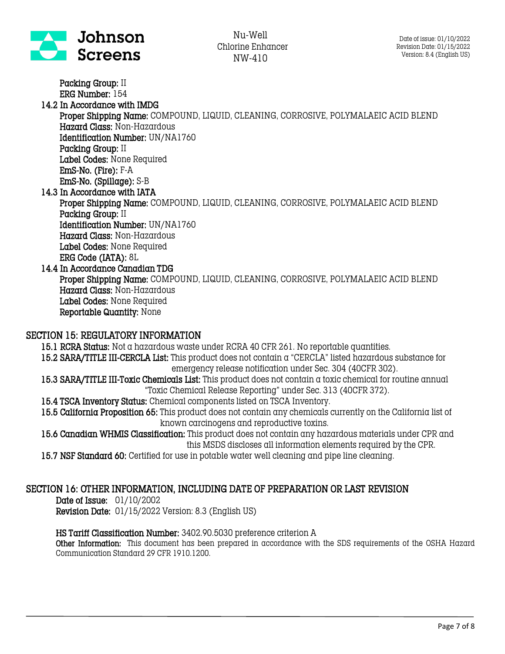

Packing Group: II ERG Number: 154 14.2 In Accordance with IMDG Proper Shipping Name: COMPOUND, LIQUID, CLEANING, CORROSIVE, POLYMALAEIC ACID BLEND Hazard Class: Non-Hazardous Identification Number: UN/NA1760 Packing Group: II Label Codes: None Required EmS-No. (Fire): F-A EmS-No. (Spillage): S-B 14.3 In Accordance with IATA Proper Shipping Name: COMPOUND, LIQUID, CLEANING, CORROSIVE, POLYMALAEIC ACID BLEND Packing Group: II Identification Number: UN/NA1760 Hazard Class: Non-Hazardous Label Codes: None Required ERG Code (IATA): 8L 14.4 In Accordance Canadian TDG Proper Shipping Name: COMPOUND, LIQUID, CLEANING, CORROSIVE, POLYMALAEIC ACID BLEND Hazard Class: Non-Hazardous Label Codes: None Required Reportable Quantity: None

#### SECTION 15: REGULATORY INFORMATION

15.1 RCRA Status: Not a hazardous waste under RCRA 40 CFR 261. No reportable quantities.

- 15.2 SARA/TITLE III-CERCLA List: This product does not contain a "CERCLA" listed hazardous substance for emergency release notification under Sec. 304 (40CFR 302).
- 15.3 SARA/TITLE III-Toxic Chemicals List: This product does not contain a toxic chemical for routine annual "Toxic Chemical Release Reporting" under Sec. 313 (40CFR 372).
- 15.4 TSCA Inventory Status: Chemical components listed on TSCA Inventory.
- 15.5 California Proposition 65: This product does not contain any chemicals currently on the California list of known carcinogens and reproductive toxins.
- 15.6 Canadian WHMIS Classification: This product does not contain any hazardous materials under CPR and this MSDS discloses all information elements required by the CPR.
- 15.7 NSF Standard 60: Certified for use in potable water well cleaning and pipe line cleaning.

#### SECTION 16: OTHER INFORMATION, INCLUDING DATE OF PREPARATION OR LAST REVISION

Date of Issue: 01/10/2002

Revision Date: 01/15/2022 Version: 8.3 (English US)

#### HS Tariff Classification Number: 3402.90.5030 preference criterion A

Other Information: This document has been prepared in accordance with the SDS requirements of the OSHA Hazard Communication Standard 29 CFR 1910.1200.